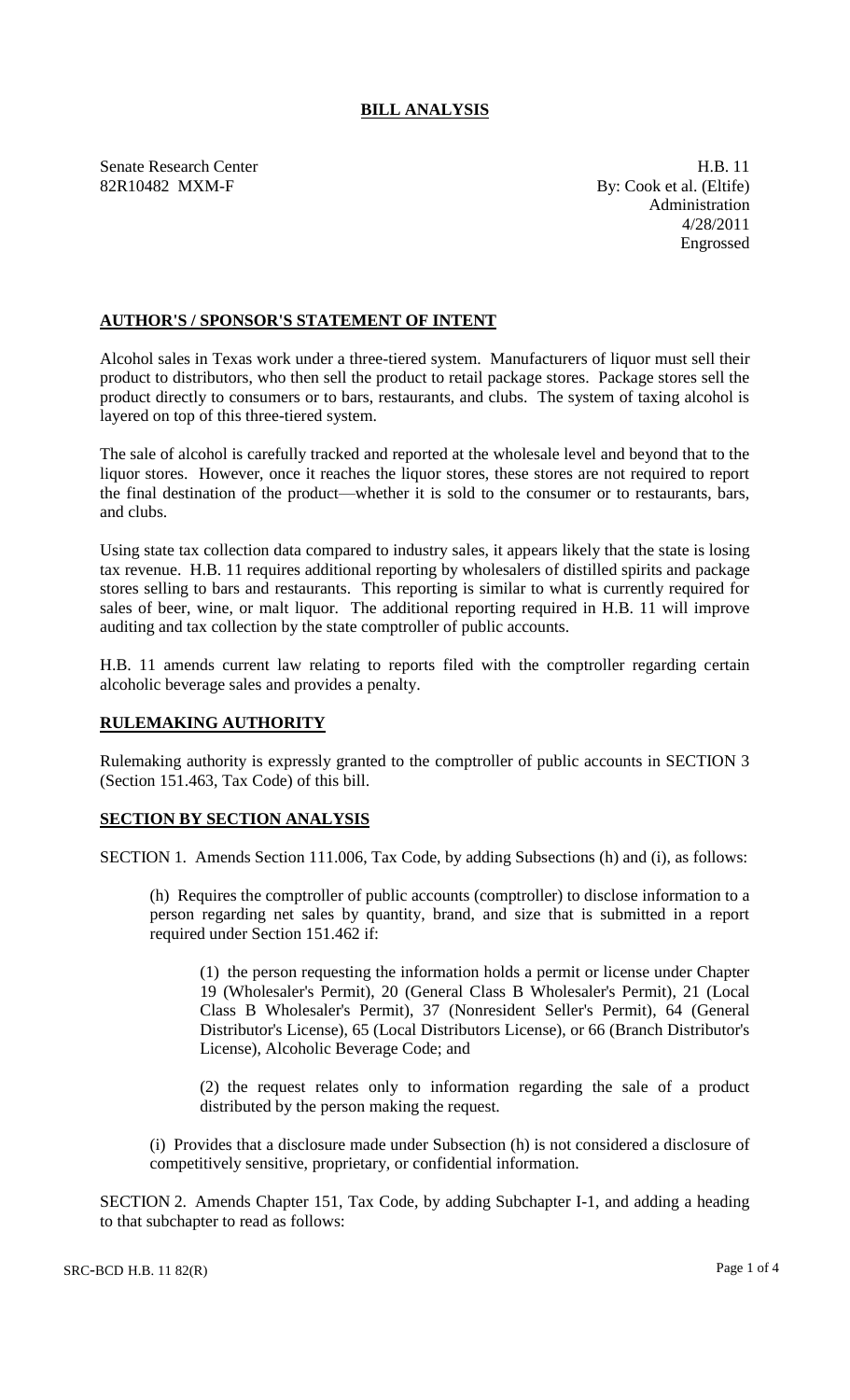# **BILL ANALYSIS**

Senate Research Center **H.B.** 11 82R10482 MXM-F By: Cook et al. (Eltife)

Administration 4/28/2011 Engrossed

## **AUTHOR'S / SPONSOR'S STATEMENT OF INTENT**

Alcohol sales in Texas work under a three-tiered system. Manufacturers of liquor must sell their product to distributors, who then sell the product to retail package stores. Package stores sell the product directly to consumers or to bars, restaurants, and clubs. The system of taxing alcohol is layered on top of this three-tiered system.

The sale of alcohol is carefully tracked and reported at the wholesale level and beyond that to the liquor stores. However, once it reaches the liquor stores, these stores are not required to report the final destination of the product—whether it is sold to the consumer or to restaurants, bars, and clubs.

Using state tax collection data compared to industry sales, it appears likely that the state is losing tax revenue. H.B. 11 requires additional reporting by wholesalers of distilled spirits and package stores selling to bars and restaurants. This reporting is similar to what is currently required for sales of beer, wine, or malt liquor. The additional reporting required in H.B. 11 will improve auditing and tax collection by the state comptroller of public accounts.

H.B. 11 amends current law relating to reports filed with the comptroller regarding certain alcoholic beverage sales and provides a penalty.

### **RULEMAKING AUTHORITY**

Rulemaking authority is expressly granted to the comptroller of public accounts in SECTION 3 (Section 151.463, Tax Code) of this bill.

### **SECTION BY SECTION ANALYSIS**

SECTION 1. Amends Section 111.006, Tax Code, by adding Subsections (h) and (i), as follows:

(h) Requires the comptroller of public accounts (comptroller) to disclose information to a person regarding net sales by quantity, brand, and size that is submitted in a report required under Section 151.462 if:

(1) the person requesting the information holds a permit or license under Chapter 19 (Wholesaler's Permit), 20 (General Class B Wholesaler's Permit), 21 (Local Class B Wholesaler's Permit), 37 (Nonresident Seller's Permit), 64 (General Distributor's License), 65 (Local Distributors License), or 66 (Branch Distributor's License), Alcoholic Beverage Code; and

(2) the request relates only to information regarding the sale of a product distributed by the person making the request.

(i) Provides that a disclosure made under Subsection (h) is not considered a disclosure of competitively sensitive, proprietary, or confidential information.

SECTION 2. Amends Chapter 151, Tax Code, by adding Subchapter I-1, and adding a heading to that subchapter to read as follows: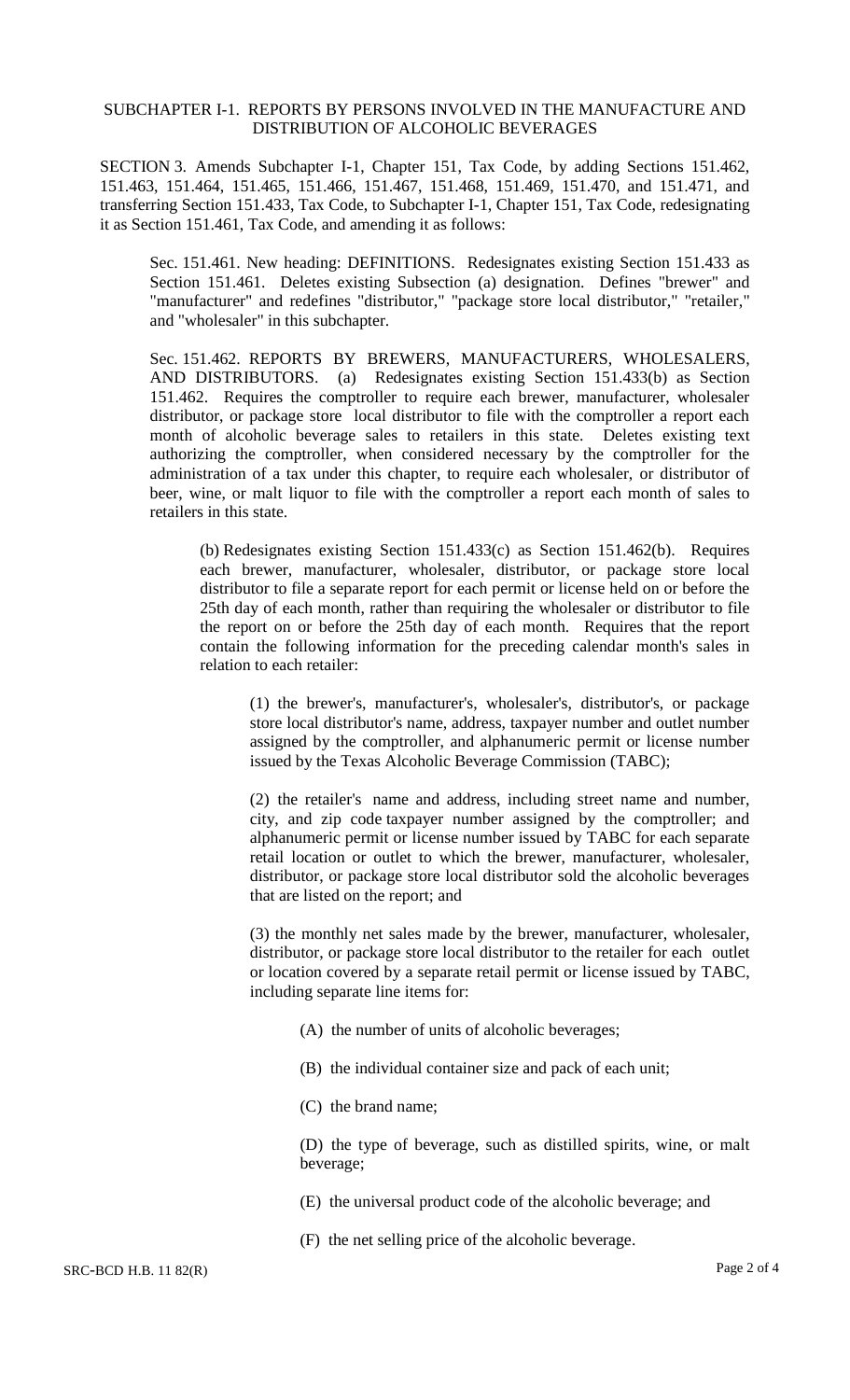#### SUBCHAPTER I-1. REPORTS BY PERSONS INVOLVED IN THE MANUFACTURE AND DISTRIBUTION OF ALCOHOLIC BEVERAGES

SECTION 3. Amends Subchapter I-1, Chapter 151, Tax Code, by adding Sections 151.462, 151.463, 151.464, 151.465, 151.466, 151.467, 151.468, 151.469, 151.470, and 151.471, and transferring Section 151.433, Tax Code, to Subchapter I-1, Chapter 151, Tax Code, redesignating it as Section 151.461, Tax Code, and amending it as follows:

Sec. 151.461. New heading: DEFINITIONS. Redesignates existing Section 151.433 as Section 151.461. Deletes existing Subsection (a) designation. Defines "brewer" and "manufacturer" and redefines "distributor," "package store local distributor," "retailer," and "wholesaler" in this subchapter.

Sec. 151.462. REPORTS BY BREWERS, MANUFACTURERS, WHOLESALERS, AND DISTRIBUTORS. (a) Redesignates existing Section 151.433(b) as Section 151.462. Requires the comptroller to require each brewer, manufacturer, wholesaler distributor, or package store local distributor to file with the comptroller a report each month of alcoholic beverage sales to retailers in this state. Deletes existing text authorizing the comptroller, when considered necessary by the comptroller for the administration of a tax under this chapter, to require each wholesaler, or distributor of beer, wine, or malt liquor to file with the comptroller a report each month of sales to retailers in this state.

(b) Redesignates existing Section 151.433(c) as Section 151.462(b). Requires each brewer, manufacturer, wholesaler, distributor, or package store local distributor to file a separate report for each permit or license held on or before the 25th day of each month, rather than requiring the wholesaler or distributor to file the report on or before the 25th day of each month. Requires that the report contain the following information for the preceding calendar month's sales in relation to each retailer:

(1) the brewer's, manufacturer's, wholesaler's, distributor's, or package store local distributor's name, address, taxpayer number and outlet number assigned by the comptroller, and alphanumeric permit or license number issued by the Texas Alcoholic Beverage Commission (TABC);

(2) the retailer's name and address, including street name and number, city, and zip code taxpayer number assigned by the comptroller; and alphanumeric permit or license number issued by TABC for each separate retail location or outlet to which the brewer, manufacturer, wholesaler, distributor, or package store local distributor sold the alcoholic beverages that are listed on the report; and

(3) the monthly net sales made by the brewer, manufacturer, wholesaler, distributor, or package store local distributor to the retailer for each outlet or location covered by a separate retail permit or license issued by TABC, including separate line items for:

- (A) the number of units of alcoholic beverages;
- (B) the individual container size and pack of each unit;
- (C) the brand name;

(D) the type of beverage, such as distilled spirits, wine, or malt beverage;

- (E) the universal product code of the alcoholic beverage; and
- (F) the net selling price of the alcoholic beverage.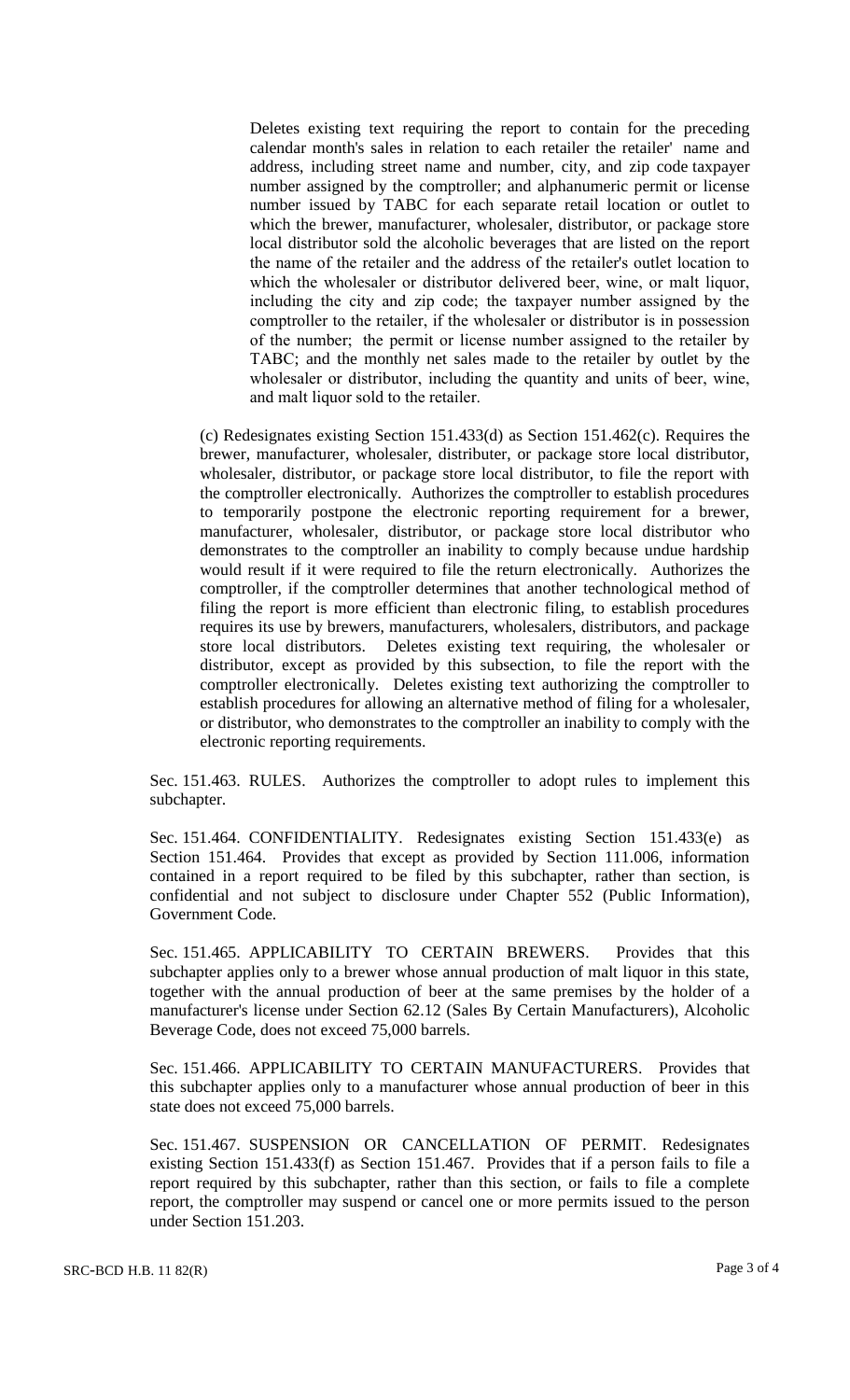Deletes existing text requiring the report to contain for the preceding calendar month's sales in relation to each retailer the retailer' name and address, including street name and number, city, and zip code taxpayer number assigned by the comptroller; and alphanumeric permit or license number issued by TABC for each separate retail location or outlet to which the brewer, manufacturer, wholesaler, distributor, or package store local distributor sold the alcoholic beverages that are listed on the report the name of the retailer and the address of the retailer's outlet location to which the wholesaler or distributor delivered beer, wine, or malt liquor, including the city and zip code; the taxpayer number assigned by the comptroller to the retailer, if the wholesaler or distributor is in possession of the number; the permit or license number assigned to the retailer by TABC; and the monthly net sales made to the retailer by outlet by the wholesaler or distributor, including the quantity and units of beer, wine, and malt liquor sold to the retailer.

(c) Redesignates existing Section 151.433(d) as Section 151.462(c). Requires the brewer, manufacturer, wholesaler, distributer, or package store local distributor, wholesaler, distributor, or package store local distributor, to file the report with the comptroller electronically. Authorizes the comptroller to establish procedures to temporarily postpone the electronic reporting requirement for a brewer, manufacturer, wholesaler, distributor, or package store local distributor who demonstrates to the comptroller an inability to comply because undue hardship would result if it were required to file the return electronically. Authorizes the comptroller, if the comptroller determines that another technological method of filing the report is more efficient than electronic filing, to establish procedures requires its use by brewers, manufacturers, wholesalers, distributors, and package store local distributors. Deletes existing text requiring, the wholesaler or distributor, except as provided by this subsection, to file the report with the comptroller electronically. Deletes existing text authorizing the comptroller to establish procedures for allowing an alternative method of filing for a wholesaler, or distributor, who demonstrates to the comptroller an inability to comply with the electronic reporting requirements.

Sec. 151.463. RULES. Authorizes the comptroller to adopt rules to implement this subchapter.

Sec. 151.464. CONFIDENTIALITY. Redesignates existing Section 151.433(e) as Section 151.464. Provides that except as provided by Section 111.006, information contained in a report required to be filed by this subchapter, rather than section, is confidential and not subject to disclosure under Chapter 552 (Public Information), Government Code.

Sec. 151.465. APPLICABILITY TO CERTAIN BREWERS. Provides that this subchapter applies only to a brewer whose annual production of malt liquor in this state, together with the annual production of beer at the same premises by the holder of a manufacturer's license under Section 62.12 (Sales By Certain Manufacturers), Alcoholic Beverage Code, does not exceed 75,000 barrels.

Sec. 151.466. APPLICABILITY TO CERTAIN MANUFACTURERS. Provides that this subchapter applies only to a manufacturer whose annual production of beer in this state does not exceed 75,000 barrels.

Sec. 151.467. SUSPENSION OR CANCELLATION OF PERMIT. Redesignates existing Section 151.433(f) as Section 151.467. Provides that if a person fails to file a report required by this subchapter, rather than this section, or fails to file a complete report, the comptroller may suspend or cancel one or more permits issued to the person under Section 151.203.